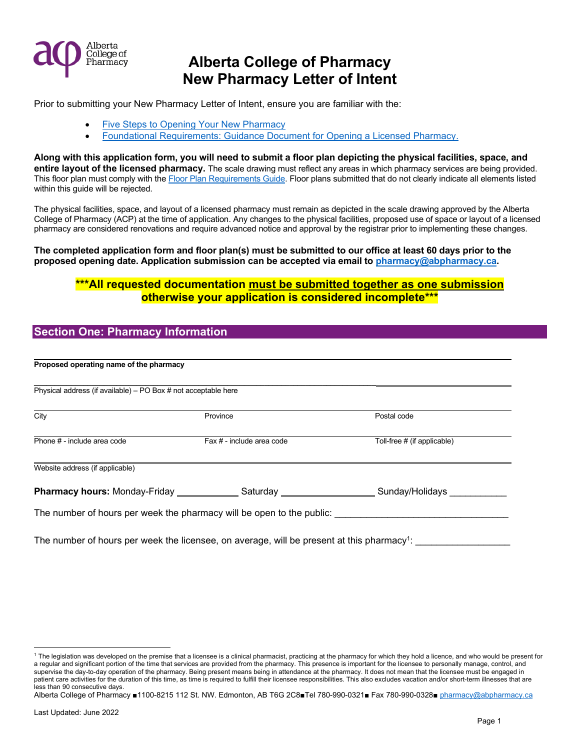

Prior to submitting your New Pharmacy Letter of Intent, ensure you are familiar with the:

- [Five Steps to Opening Your New Pharmacy](https://abpharmacy.ca/sites/default/files/FiveStepstoOpeningYourNewPharmacy.pdf)
- [Foundational Requirements: Guidance Document for Opening a Licensed Pharmacy.](https://abpharmacy.ca/sites/default/files/FoundationalRequirementsGuidanceDocument.pdf)

**Along with this application form, you will need to submit a floor plan depicting the physical facilities, space, and entire layout of the licensed pharmacy.** The scale drawing must reflect any areas in which pharmacy services are being provided. This floor plan must comply with the [Floor Plan Requirements Guide.](https://abpharmacy.ca/sites/default/files/FloorPlanRequirements.pdf) Floor plans submitted that do not clearly indicate all elements listed within this guide will be rejected.

The physical facilities, space, and layout of a licensed pharmacy must remain as depicted in the scale drawing approved by the Alberta College of Pharmacy (ACP) at the time of application. Any changes to the physical facilities, proposed use of space or layout of a licensed pharmacy are considered renovations and require advanced notice and approval by the registrar prior to implementing these changes.

### **The completed application form and floor plan(s) must be submitted to our office at least 60 days prior to the proposed opening date. Application submission can be accepted via email to [pharmacy@abpharmacy.ca.](mailto:pharmacy@abpharmacy.ca)**

## **\*\*\*All requested documentation must be submitted together as one submission otherwise your application is considered incomplete\*\*\***

## **Section One: Pharmacy Information**

| Proposed operating name of the pharmacy                        |                                                                                                        |                             |
|----------------------------------------------------------------|--------------------------------------------------------------------------------------------------------|-----------------------------|
| Physical address (if available) – PO Box # not acceptable here |                                                                                                        |                             |
| City                                                           | Province                                                                                               | Postal code                 |
| Phone # - include area code                                    | Fax # - include area code                                                                              | Toll-free # (if applicable) |
| Website address (if applicable)                                |                                                                                                        |                             |
|                                                                | <b>Pharmacy hours:</b> Monday-Friday <b>Contract Saturday</b> Saturday                                 | Sunday/Holidays             |
|                                                                | The number of hours per week the pharmacy will be open to the public:                                  |                             |
|                                                                | The number of hours per week the licensee, on average, will be present at this pharmacy <sup>1</sup> : |                             |

```
Alberta College of Pharmacy ■1100-8215 112 St. NW. Edmonton, AB T6G 2C8■Tel 780-990-0321■ Fax 780-990-0328■ pharmacy@abpharmacy.ca
```
<span id="page-0-0"></span><sup>&</sup>lt;sup>1</sup> The legislation was developed on the premise that a licensee is a clinical pharmacist, practicing at the pharmacy for which they hold a licence, and who would be present for a regular and significant portion of the time that services are provided from the pharmacy. This presence is important for the licensee to personally manage, control, and supervise the day-to-day operation of the pharmacy. Being present means being in attendance at the pharmacy. It does not mean that the licensee must be engaged in patient care activities for the duration of this time, as time is required to fulfill their licensee responsibilities. This also excludes vacation and/or short-term illnesses that are less than 90 consecutive days.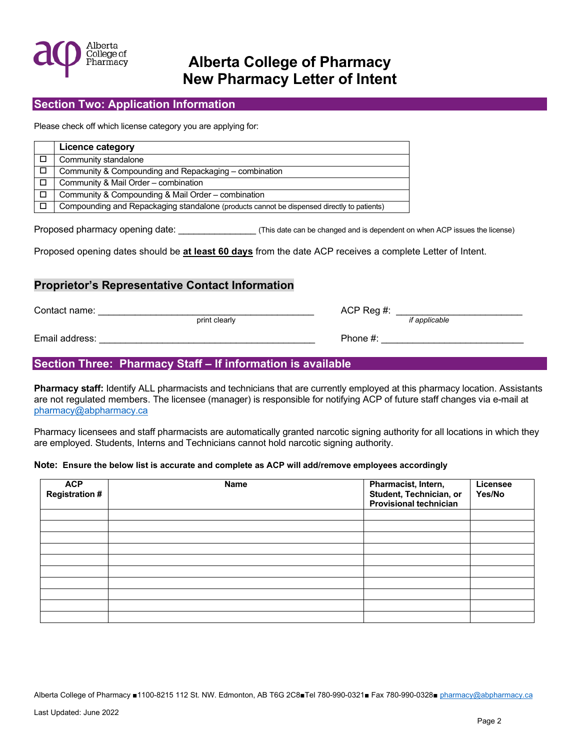

## **Section Two: Application Information**

Please check off which license category you are applying for:

| Licence category                                                                           |
|--------------------------------------------------------------------------------------------|
| Community standalone                                                                       |
| Community & Compounding and Repackaging - combination                                      |
| Community & Mail Order - combination                                                       |
| Community & Compounding & Mail Order – combination                                         |
| Compounding and Repackaging standalone (products cannot be dispensed directly to patients) |

Proposed pharmacy opening date: \_\_\_\_\_\_\_\_\_\_\_\_\_\_\_ (This date can be changed and is dependent on when ACP issues the license)

Proposed opening dates should be **at least 60 days** from the date ACP receives a complete Letter of Intent.

### **Proprietor's Representative Contact Information**

Contact name: \_\_\_\_\_\_\_\_\_\_\_\_\_\_\_\_\_\_\_\_\_\_\_\_\_\_\_\_\_\_\_\_\_\_\_\_\_\_\_\_\_ ACP Reg #: \_\_\_\_\_\_\_\_\_\_\_\_\_\_\_\_\_\_\_\_\_\_\_\_

print clearly *if applicable*

Email address: \_\_\_\_\_\_\_\_\_\_\_\_\_\_\_\_\_\_\_\_\_\_\_\_\_\_\_\_\_\_\_\_\_\_\_\_\_\_\_\_\_ Phone #: \_\_\_\_\_\_\_\_\_\_\_\_\_\_\_\_\_\_\_\_\_\_\_\_\_\_\_

## **Section Three: Pharmacy Staff – If information is available**

**Pharmacy staff:** Identify ALL pharmacists and technicians that are currently employed at this pharmacy location. Assistants are not regulated members. The licensee (manager) is responsible for notifying ACP of future staff changes via e-mail at [pharmacy@abpharmacy.ca](mailto:pharmacy@abpharmacy.ca)

Pharmacy licensees and staff pharmacists are automatically granted narcotic signing authority for all locations in which they are employed. Students, Interns and Technicians cannot hold narcotic signing authority.

#### **Note: Ensure the below list is accurate and complete as ACP will add/remove employees accordingly**

| <b>ACP</b><br><b>Registration #</b> | Name | Pharmacist, Intern,<br>Student, Technician, or<br><b>Provisional technician</b> | Licensee<br>Yes/No |
|-------------------------------------|------|---------------------------------------------------------------------------------|--------------------|
|                                     |      |                                                                                 |                    |
|                                     |      |                                                                                 |                    |
|                                     |      |                                                                                 |                    |
|                                     |      |                                                                                 |                    |
|                                     |      |                                                                                 |                    |
|                                     |      |                                                                                 |                    |
|                                     |      |                                                                                 |                    |
|                                     |      |                                                                                 |                    |
|                                     |      |                                                                                 |                    |
|                                     |      |                                                                                 |                    |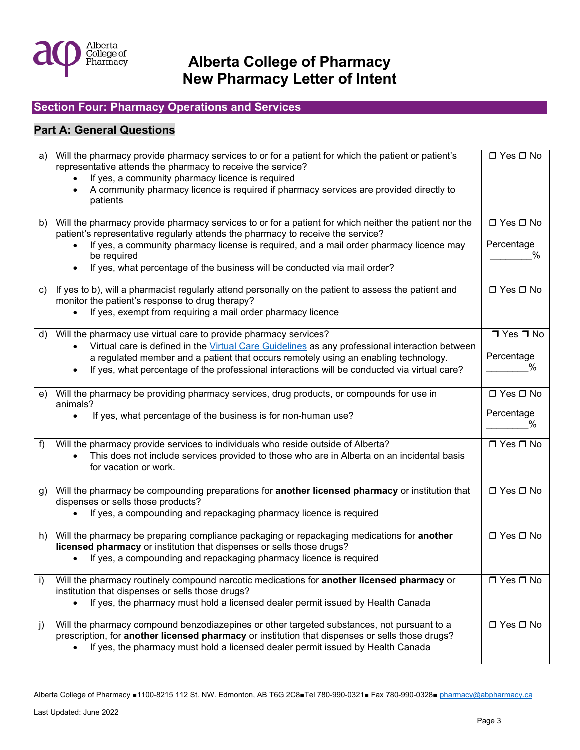

## **Section Four: Pharmacy Operations and Services**

## **Part A: General Questions**

| a) | Will the pharmacy provide pharmacy services to or for a patient for which the patient or patient's                                                                                 | $\Box$ Yes $\Box$ No |
|----|------------------------------------------------------------------------------------------------------------------------------------------------------------------------------------|----------------------|
|    | representative attends the pharmacy to receive the service?                                                                                                                        |                      |
|    | If yes, a community pharmacy licence is required                                                                                                                                   |                      |
|    | A community pharmacy licence is required if pharmacy services are provided directly to                                                                                             |                      |
|    | patients                                                                                                                                                                           |                      |
|    |                                                                                                                                                                                    |                      |
| b) | Will the pharmacy provide pharmacy services to or for a patient for which neither the patient nor the                                                                              | $\Box$ Yes $\Box$ No |
|    | patient's representative regularly attends the pharmacy to receive the service?                                                                                                    |                      |
|    | If yes, a community pharmacy license is required, and a mail order pharmacy licence may                                                                                            | Percentage           |
|    | be required                                                                                                                                                                        |                      |
|    | If yes, what percentage of the business will be conducted via mail order?                                                                                                          |                      |
|    |                                                                                                                                                                                    |                      |
| C) | If yes to b), will a pharmacist regularly attend personally on the patient to assess the patient and                                                                               | $\Box$ Yes $\Box$ No |
|    | monitor the patient's response to drug therapy?                                                                                                                                    |                      |
|    | If yes, exempt from requiring a mail order pharmacy licence                                                                                                                        |                      |
|    |                                                                                                                                                                                    |                      |
| d) | Will the pharmacy use virtual care to provide pharmacy services?                                                                                                                   | $\Box$ Yes $\Box$ No |
|    | Virtual care is defined in the Virtual Care Guidelines as any professional interaction between                                                                                     |                      |
|    |                                                                                                                                                                                    | Percentage           |
|    | a regulated member and a patient that occurs remotely using an enabling technology.                                                                                                | ℅                    |
|    | If yes, what percentage of the professional interactions will be conducted via virtual care?                                                                                       |                      |
|    |                                                                                                                                                                                    |                      |
|    | e) Will the pharmacy be providing pharmacy services, drug products, or compounds for use in                                                                                        | $\Box$ Yes $\Box$ No |
|    | animals?                                                                                                                                                                           |                      |
|    | If yes, what percentage of the business is for non-human use?<br>$\bullet$                                                                                                         | Percentage           |
|    |                                                                                                                                                                                    | ℅                    |
| f) | Will the pharmacy provide services to individuals who reside outside of Alberta?                                                                                                   | $\Box$ Yes $\Box$ No |
|    | This does not include services provided to those who are in Alberta on an incidental basis                                                                                         |                      |
|    |                                                                                                                                                                                    |                      |
|    |                                                                                                                                                                                    |                      |
|    | for vacation or work.                                                                                                                                                              |                      |
|    |                                                                                                                                                                                    |                      |
| g) | Will the pharmacy be compounding preparations for another licensed pharmacy or institution that                                                                                    | $\Box$ Yes $\Box$ No |
|    | dispenses or sells those products?                                                                                                                                                 |                      |
|    | If yes, a compounding and repackaging pharmacy licence is required                                                                                                                 |                      |
|    |                                                                                                                                                                                    |                      |
| h) | Will the pharmacy be preparing compliance packaging or repackaging medications for another                                                                                         | $\Box$ Yes $\Box$ No |
|    | licensed pharmacy or institution that dispenses or sells those drugs?                                                                                                              |                      |
|    | If yes, a compounding and repackaging pharmacy licence is required                                                                                                                 |                      |
|    |                                                                                                                                                                                    |                      |
| i) | Will the pharmacy routinely compound narcotic medications for another licensed pharmacy or                                                                                         | $\Box$ Yes $\Box$ No |
|    | institution that dispenses or sells those drugs?                                                                                                                                   |                      |
|    | If yes, the pharmacy must hold a licensed dealer permit issued by Health Canada                                                                                                    |                      |
|    |                                                                                                                                                                                    |                      |
| j) | Will the pharmacy compound benzodiazepines or other targeted substances, not pursuant to a                                                                                         | □ Yes □ No           |
|    | prescription, for another licensed pharmacy or institution that dispenses or sells those drugs?<br>If yes, the pharmacy must hold a licensed dealer permit issued by Health Canada |                      |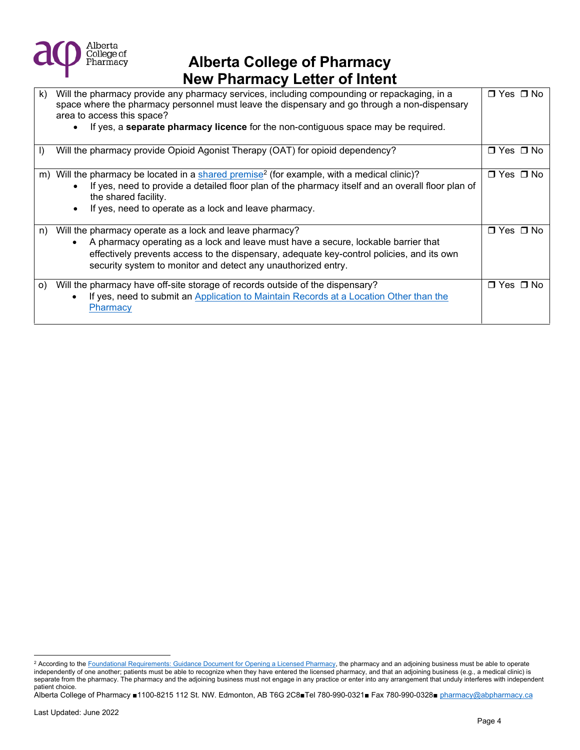

| $\mathsf{k}$ | Will the pharmacy provide any pharmacy services, including compounding or repackaging, in a<br>space where the pharmacy personnel must leave the dispensary and go through a non-dispensary<br>area to access this space?<br>If yes, a <b>separate pharmacy licence</b> for the non-contiguous space may be required. | □ Yes □ No           |
|--------------|-----------------------------------------------------------------------------------------------------------------------------------------------------------------------------------------------------------------------------------------------------------------------------------------------------------------------|----------------------|
| $\vert$      | Will the pharmacy provide Opioid Agonist Therapy (OAT) for opioid dependency?                                                                                                                                                                                                                                         | □ Yes □ No           |
| m)           | Will the pharmacy be located in a shared premise <sup>2</sup> (for example, with a medical clinic)?<br>If yes, need to provide a detailed floor plan of the pharmacy itself and an overall floor plan of<br>the shared facility.<br>If yes, need to operate as a lock and leave pharmacy.                             | $\Box$ Yes $\Box$ No |
| n)           | Will the pharmacy operate as a lock and leave pharmacy?<br>A pharmacy operating as a lock and leave must have a secure, lockable barrier that<br>effectively prevents access to the dispensary, adequate key-control policies, and its own<br>security system to monitor and detect any unauthorized entry.           | $\Box$ Yes $\Box$ No |
| O)           | Will the pharmacy have off-site storage of records outside of the dispensary?<br>If yes, need to submit an Application to Maintain Records at a Location Other than the<br>Pharmacy                                                                                                                                   | □ Yes □ No           |

<span id="page-3-0"></span><sup>&</sup>lt;sup>2</sup> According to the [Foundational Requirements: Guidance Document for Opening a Licensed Pharmacy,](https://abpharmacy.ca/sites/default/files/FoundationalRequirementsGuidanceDocument.pdf) the pharmacy and an adjoining business must be able to operate independently of one another; patients must be able to recognize when they have entered the licensed pharmacy, and that an adjoining business (e.g., a medical clinic) is separate from the pharmacy. The pharmacy and the adjoining business must not engage in any practice or enter into any arrangement that unduly interferes with independent patient choice.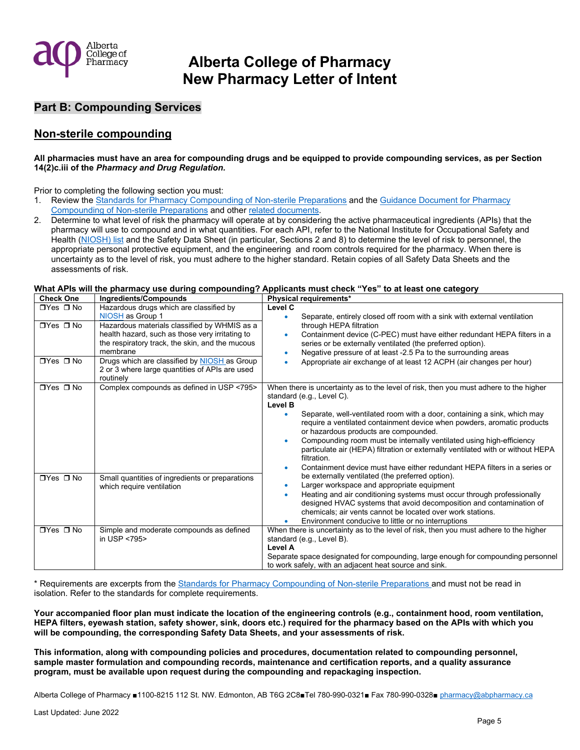

### **Part B: Compounding Services**

### **Non-sterile compounding**

#### **All pharmacies must have an area for compounding drugs and be equipped to provide compounding services, as per Section 14(2)c.iii of the** *Pharmacy and Drug Regulation.*

Prior to completing the following section you must:

- 1. Review the **Standards for Pharmacy Compounding of Non-sterile Preparations and the Guidance Document for Pharmacy** [Compounding of Non-sterile Preparations](https://abpharmacy.ca/sites/default/files/Guidance_Pharmacy_Non-sterile_Compounding.pdf) and othe[r related documents.](https://abpharmacy.ca/standards-pharmacy-compounding-non-sterile-preparations)
- 2. Determine to what level of risk the pharmacy will operate at by considering the active pharmaceutical ingredients (APIs) that the pharmacy will use to compound and in what quantities. For each API, refer to the National Institute for Occupational Safety and Health [\(NIOSH\) list](https://www.cdc.gov/niosh/topics/hazdrug/default.html) and the Safety Data Sheet (in particular, Sections 2 and 8) to determine the level of risk to personnel, the appropriate personal protective equipment, and the engineering and room controls required for the pharmacy. When there is uncertainty as to the level of risk, you must adhere to the higher standard. Retain copies of all Safety Data Sheets and the assessments of risk.

#### **What APIs will the pharmacy use during compounding? Applicants must check "Yes" to at least one category**

| <b>Check One</b>                                                     | Ingredients/Compounds                                                                                                                                                                                                                                                                                                                        | Physical requirements*                                                                                                                                                                                                                                                                                                                                                                                                                                                                                                                                                                      |  |
|----------------------------------------------------------------------|----------------------------------------------------------------------------------------------------------------------------------------------------------------------------------------------------------------------------------------------------------------------------------------------------------------------------------------------|---------------------------------------------------------------------------------------------------------------------------------------------------------------------------------------------------------------------------------------------------------------------------------------------------------------------------------------------------------------------------------------------------------------------------------------------------------------------------------------------------------------------------------------------------------------------------------------------|--|
| $\Box$ Yes $\Box$ No<br>$\Box$ Yes $\Box$ No<br>$\Box$ Yes $\Box$ No | Hazardous drugs which are classified by<br>NIOSH as Group 1<br>Hazardous materials classified by WHMIS as a<br>health hazard, such as those very irritating to<br>the respiratory track, the skin, and the mucous<br>membrane<br>Drugs which are classified by NIOSH as Group<br>2 or 3 where large quantities of APIs are used<br>routinely | Level C<br>Separate, entirely closed off room with a sink with external ventilation<br>through HEPA filtration<br>Containment device (C-PEC) must have either redundant HEPA filters in a<br>series or be externally ventilated (the preferred option).<br>Negative pressure of at least -2.5 Pa to the surrounding areas<br>$\bullet$<br>Appropriate air exchange of at least 12 ACPH (air changes per hour)                                                                                                                                                                               |  |
| $\n  TVes\n  TVS\n$                                                  | Complex compounds as defined in USP <795>                                                                                                                                                                                                                                                                                                    | When there is uncertainty as to the level of risk, then you must adhere to the higher<br>standard (e.g., Level C).<br><b>Level B</b><br>Separate, well-ventilated room with a door, containing a sink, which may<br>require a ventilated containment device when powders, aromatic products<br>or hazardous products are compounded.<br>Compounding room must be internally ventilated using high-efficiency<br>particulate air (HEPA) filtration or externally ventilated with or without HEPA<br>filtration.<br>Containment device must have either redundant HEPA filters in a series or |  |
| $\Box$ Yes $\Box$ No                                                 | Small quantities of ingredients or preparations<br>which require ventilation                                                                                                                                                                                                                                                                 | be externally ventilated (the preferred option).<br>Larger workspace and appropriate equipment<br>Heating and air conditioning systems must occur through professionally<br>designed HVAC systems that avoid decomposition and contamination of<br>chemicals; air vents cannot be located over work stations.<br>Environment conducive to little or no interruptions                                                                                                                                                                                                                        |  |
| $\n  TVes\n  TVS\n$                                                  | Simple and moderate compounds as defined<br>in USP <795>                                                                                                                                                                                                                                                                                     | When there is uncertainty as to the level of risk, then you must adhere to the higher<br>standard (e.g., Level B).<br>Level A<br>Separate space designated for compounding, large enough for compounding personnel<br>to work safely, with an adjacent heat source and sink.                                                                                                                                                                                                                                                                                                                |  |

\* Requirements are excerpts from the [Standards for Pharmacy Compounding of Non-sterile Preparations](https://abpharmacy.ca/standards-practice) and must not be read in isolation. Refer to the standards for complete requirements.

Your accompanied floor plan must indicate the location of the engineering controls (e.g., containment hood, room ventilation, **HEPA filters, eyewash station, safety shower, sink, doors etc.) required for the pharmacy based on the APIs with which you will be compounding, the corresponding Safety Data Sheets, and your assessments of risk.** 

**This information, along with compounding policies and procedures, documentation related to compounding personnel, sample master formulation and compounding records, maintenance and certification reports, and a quality assurance program, must be available upon request during the compounding and repackaging inspection.**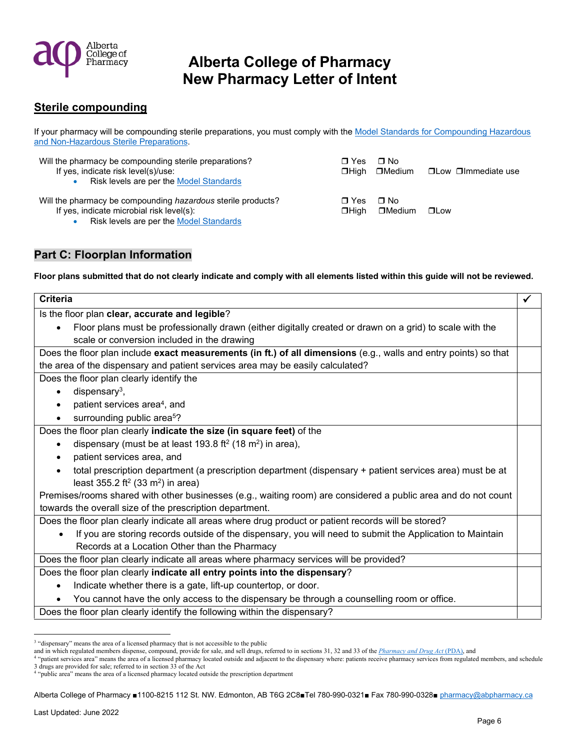

## **Sterile compounding**

If your pharmacy will be compounding sterile preparations, you must comply with th[e Model Standards for Compounding Hazardous](https://abpharmacy.ca/standards-practice)  [and Non-Hazardous Sterile Preparations.](https://abpharmacy.ca/standards-practice)

| Will the pharmacy be compounding sterile preparations?<br>If yes, indicate risk level(s)/use:<br>Risk levels are per the Model Standards             | $\Box$ Yes                  | ∩ No<br><b>□High □Medium</b> | □Low □Immediate use |
|------------------------------------------------------------------------------------------------------------------------------------------------------|-----------------------------|------------------------------|---------------------|
| Will the pharmacy be compounding hazardous sterile products?<br>If yes, indicate microbial risk level(s):<br>Risk levels are per the Model Standards | $\blacksquare$ Yes<br>□Hiah | ∩ No<br>$\Box$ Medium        | $\square$ Low       |

## **Part C: Floorplan Information**

**Floor plans submitted that do not clearly indicate and comply with all elements listed within this guide will not be reviewed.** 

| <b>Criteria</b>                                                                                                       | √ |  |
|-----------------------------------------------------------------------------------------------------------------------|---|--|
| Is the floor plan clear, accurate and legible?                                                                        |   |  |
| Floor plans must be professionally drawn (either digitally created or drawn on a grid) to scale with the<br>$\bullet$ |   |  |
| scale or conversion included in the drawing                                                                           |   |  |
| Does the floor plan include exact measurements (in ft.) of all dimensions (e.g., walls and entry points) so that      |   |  |
| the area of the dispensary and patient services area may be easily calculated?                                        |   |  |
| Does the floor plan clearly identify the                                                                              |   |  |
| dispensary <sup>3</sup> ,<br>$\bullet$                                                                                |   |  |
| patient services area <sup>4</sup> , and<br>$\bullet$                                                                 |   |  |
| surrounding public area <sup>5</sup> ?                                                                                |   |  |
| Does the floor plan clearly indicate the size (in square feet) of the                                                 |   |  |
| dispensary (must be at least 193.8 ft <sup>2</sup> (18 m <sup>2</sup> ) in area),                                     |   |  |
| patient services area, and                                                                                            |   |  |
| total prescription department (a prescription department (dispensary + patient services area) must be at              |   |  |
| least 355.2 ft <sup>2</sup> (33 m <sup>2</sup> ) in area)                                                             |   |  |
| Premises/rooms shared with other businesses (e.g., waiting room) are considered a public area and do not count        |   |  |
| towards the overall size of the prescription department.                                                              |   |  |
| Does the floor plan clearly indicate all areas where drug product or patient records will be stored?                  |   |  |
| If you are storing records outside of the dispensary, you will need to submit the Application to Maintain             |   |  |
| Records at a Location Other than the Pharmacy                                                                         |   |  |
| Does the floor plan clearly indicate all areas where pharmacy services will be provided?                              |   |  |
| Does the floor plan clearly indicate all entry points into the dispensary?                                            |   |  |
| Indicate whether there is a gate, lift-up countertop, or door.                                                        |   |  |
| You cannot have the only access to the dispensary be through a counselling room or office.                            |   |  |
| Does the floor plan clearly identify the following within the dispensary?                                             |   |  |
|                                                                                                                       |   |  |

<span id="page-5-0"></span><sup>&</sup>lt;sup>3</sup> "dispensary" means the area of a licensed pharmacy that is not accessible to the public

and in which regulated members dispense, compound, provide for sale, and sell drugs, referred to in sections 31, 32 and 33 of the *[Pharmacy and Drug Act](https://abpharmacy.ca/provincial-legislation)* (PDA), and<br><sup>4 s</sup>patient services area<sup>3</sup> means the area of a license

<span id="page-5-1"></span> <sup>&</sup>quot;patient services area" means the area of a licensed pharmacy located outside and adjacent to the dispensary where: patients receive pharmacy services from regulated members, and schedule 3 drugs are provided for sale; referred to in section 33 of the Act 4 "public area" means the area of a licensed pharmacy located outside the prescription department

<span id="page-5-2"></span>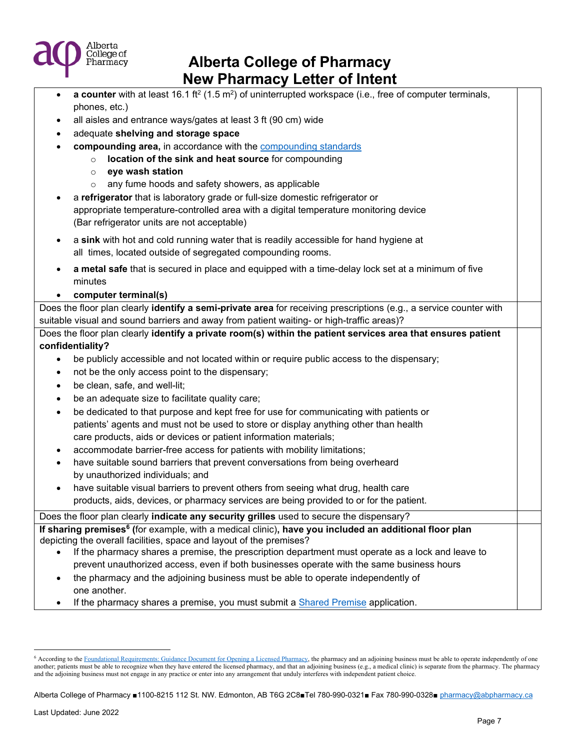

| $\bullet$ | a counter with at least 16.1 ft <sup>2</sup> (1.5 m <sup>2</sup> ) of uninterrupted workspace (i.e., free of computer terminals, |  |
|-----------|----------------------------------------------------------------------------------------------------------------------------------|--|
|           | phones, etc.)                                                                                                                    |  |
| ٠         | all aisles and entrance ways/gates at least 3 ft (90 cm) wide                                                                    |  |
| ٠         | adequate shelving and storage space                                                                                              |  |
|           | compounding area, in accordance with the compounding standards                                                                   |  |
|           | location of the sink and heat source for compounding<br>$\circ$                                                                  |  |
|           | eye wash station<br>$\circ$                                                                                                      |  |
|           | any fume hoods and safety showers, as applicable<br>$\circ$                                                                      |  |
|           | a refrigerator that is laboratory grade or full-size domestic refrigerator or                                                    |  |
|           | appropriate temperature-controlled area with a digital temperature monitoring device                                             |  |
|           | (Bar refrigerator units are not acceptable)                                                                                      |  |
| $\bullet$ | a sink with hot and cold running water that is readily accessible for hand hygiene at                                            |  |
|           | all times, located outside of segregated compounding rooms.                                                                      |  |
|           | a metal safe that is secured in place and equipped with a time-delay lock set at a minimum of five                               |  |
|           | minutes                                                                                                                          |  |
|           | computer terminal(s)                                                                                                             |  |
|           | Does the floor plan clearly identify a semi-private area for receiving prescriptions (e.g., a service counter with               |  |
|           | suitable visual and sound barriers and away from patient waiting- or high-traffic areas)?                                        |  |
|           | Does the floor plan clearly identify a private room(s) within the patient services area that ensures patient                     |  |
|           | confidentiality?                                                                                                                 |  |
| $\bullet$ | be publicly accessible and not located within or require public access to the dispensary;                                        |  |
| $\bullet$ | not be the only access point to the dispensary;                                                                                  |  |
|           | be clean, safe, and well-lit;                                                                                                    |  |
| ٠         | be an adequate size to facilitate quality care;                                                                                  |  |
| $\bullet$ | be dedicated to that purpose and kept free for use for communicating with patients or                                            |  |
|           | patients' agents and must not be used to store or display anything other than health                                             |  |
|           | care products, aids or devices or patient information materials;                                                                 |  |
| ٠         | accommodate barrier-free access for patients with mobility limitations;                                                          |  |
| ٠         | have suitable sound barriers that prevent conversations from being overheard                                                     |  |
|           | by unauthorized individuals; and                                                                                                 |  |
| $\bullet$ | have suitable visual barriers to prevent others from seeing what drug, health care                                               |  |
|           | products, aids, devices, or pharmacy services are being provided to or for the patient.                                          |  |
|           | Does the floor plan clearly indicate any security grilles used to secure the dispensary?                                         |  |
|           | If sharing premises <sup>6</sup> (for example, with a medical clinic), have you included an additional floor plan                |  |
|           | depicting the overall facilities, space and layout of the premises?                                                              |  |
|           | If the pharmacy shares a premise, the prescription department must operate as a lock and leave to                                |  |
|           | prevent unauthorized access, even if both businesses operate with the same business hours                                        |  |
| $\bullet$ | the pharmacy and the adjoining business must be able to operate independently of                                                 |  |
|           | one another.                                                                                                                     |  |
|           | If the pharmacy shares a premise, you must submit a Shared Premise application.                                                  |  |

<span id="page-6-0"></span><sup>&</sup>lt;sup>6</sup> According to the [Foundational Requirements: Guidance Document for Opening a Licensed Pharmacy,](https://abpharmacy.ca/sites/default/files/FoundationalRequirementsGuidanceDocument.pdf) the pharmacy and an adjoining business must be able to operate independently of one another; patients must be able to recognize when they have entered the licensed pharmacy, and that an adjoining business (e.g., a medical clinic) is separate from the pharmacy. The pharmacy and an adjoining business (e.g., and the adjoining business must not engage in any practice or enter into any arrangement that unduly interferes with independent patient choice.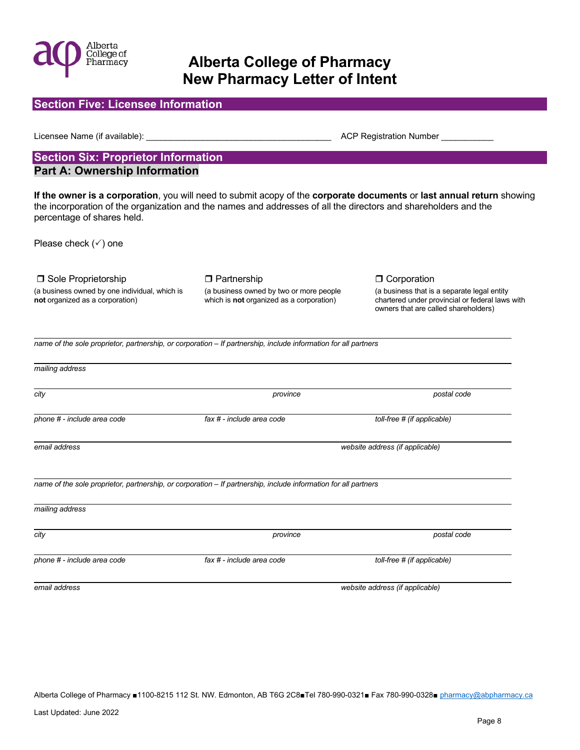

**Section Five: Licensee Information** 

# **Alberta College of Pharmacy New Pharmacy Letter of Intent**

| Licensee Name (if available):                                                    |                                                                                                                 | ACP Registration Number                                                                                                                |
|----------------------------------------------------------------------------------|-----------------------------------------------------------------------------------------------------------------|----------------------------------------------------------------------------------------------------------------------------------------|
| <b>Section Six: Proprietor Information</b>                                       |                                                                                                                 |                                                                                                                                        |
| <b>Part A: Ownership Information</b>                                             |                                                                                                                 |                                                                                                                                        |
| percentage of shares held.                                                       | the incorporation of the organization and the names and addresses of all the directors and shareholders and the | If the owner is a corporation, you will need to submit acopy of the corporate documents or last annual return showing                  |
| Please check $(\checkmark)$ one                                                  |                                                                                                                 |                                                                                                                                        |
| □ Sole Proprietorship                                                            | <b>D</b> Partnership                                                                                            | <b>O</b> Corporation                                                                                                                   |
| (a business owned by one individual, which is<br>not organized as a corporation) | (a business owned by two or more people<br>which is <b>not</b> organized as a corporation)                      | (a business that is a separate legal entity<br>chartered under provincial or federal laws with<br>owners that are called shareholders) |
|                                                                                  | name of the sole proprietor, partnership, or corporation - If partnership, include information for all partners |                                                                                                                                        |
| mailing address                                                                  |                                                                                                                 |                                                                                                                                        |
| city                                                                             | province                                                                                                        | postal code                                                                                                                            |
| phone # - include area code                                                      | fax # - include area code                                                                                       | toll-free # (if applicable)                                                                                                            |
| email address                                                                    |                                                                                                                 | website address (if applicable)                                                                                                        |
|                                                                                  | name of the sole proprietor, partnership, or corporation - If partnership, include information for all partners |                                                                                                                                        |
| mailing address                                                                  |                                                                                                                 |                                                                                                                                        |
| city                                                                             | province                                                                                                        | postal code                                                                                                                            |
| phone # - include area code                                                      | fax # - include area code                                                                                       | toll-free # (if applicable)                                                                                                            |
| email address                                                                    |                                                                                                                 | website address (if applicable)                                                                                                        |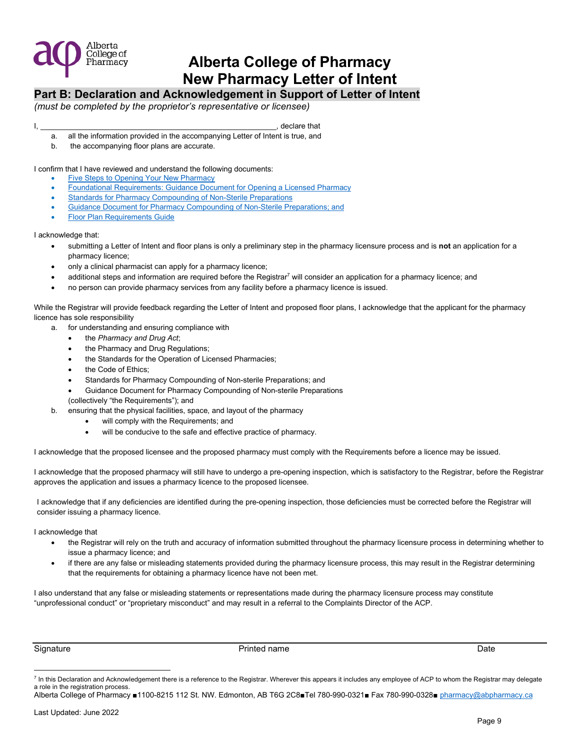

## **Part B: Declaration and Acknowledgement in Support of Letter of Intent**

*(must be completed by the proprietor's representative or licensee)* 

#### $\blacksquare$

- a. all the information provided in the accompanying Letter of Intent is true, and
- b. the accompanying floor plans are accurate.

I confirm that I have reviewed and understand the following documents:

- [Five Steps to Opening Your New Pharmacy](https://abpharmacy.ca/sites/default/files/FiveStepstoOpeningYourNewPharmacy.pdf)
- [Foundational Requirements: Guidance Document for Opening a Licensed Pharmacy](https://abpharmacy.ca/sites/default/files/FoundationalRequirementsGuidanceDocument.pdf)
- Standards for Pharmacy Compounding of Non-Sterile Preparations
- Guidance Document for Pharmacy Compounding of Non-Sterile Preparations; and
- [Floor Plan Requirements Guide](https://abpharmacy.ca/sites/default/files/FloorPlanRequirements.pdf)

#### I acknowledge that:

- submitting a Letter of Intent and floor plans is only a preliminary step in the pharmacy licensure process and is **not** an application for a pharmacy licence;
- only a clinical pharmacist can apply for a pharmacy licence;
- $\bullet$  additional steps and info[r](#page-8-0)mation are required before the Registrar<sup>7</sup> will consider an application for a pharmacy licence; and
- no person can provide pharmacy services from any facility before a pharmacy licence is issued.

While the Registrar will provide feedback regarding the Letter of Intent and proposed floor plans, I acknowledge that the applicant for the pharmacy licence has sole responsibility

- a. for understanding and ensuring compliance with
	- the *Pharmacy and Drug Act*;
	- the Pharmacy and Drug Regulations;
	- the Standards for the Operation of Licensed Pharmacies;
	- the Code of Ethics;
	- Standards for Pharmacy Compounding of Non-sterile Preparations; and
	- Guidance Document for Pharmacy Compounding of Non-sterile Preparations
	- (collectively "the Requirements"); and
- b. ensuring that the physical facilities, space, and layout of the pharmacy
	- will comply with the Requirements; and
	- will be conducive to the safe and effective practice of pharmacy.

I acknowledge that the proposed licensee and the proposed pharmacy must comply with the Requirements before a licence may be issued.

I acknowledge that the proposed pharmacy will still have to undergo a pre-opening inspection, which is satisfactory to the Registrar, before the Registrar approves the application and issues a pharmacy licence to the proposed licensee.

I acknowledge that if any deficiencies are identified during the pre-opening inspection, those deficiencies must be corrected before the Registrar will consider issuing a pharmacy licence.

I acknowledge that

- the Registrar will rely on the truth and accuracy of information submitted throughout the pharmacy licensure process in determining whether to issue a pharmacy licence; and
- if there are any false or misleading statements provided during the pharmacy licensure process, this may result in the Registrar determining that the requirements for obtaining a pharmacy licence have not been met.

I also understand that any false or misleading statements or representations made during the pharmacy licensure process may constitute "unprofessional conduct" or "proprietary misconduct" and may result in a referral to the Complaints Director of the ACP.

Signature **Printed name** Printed name **Printed name Date Date Date Date Date** 

<span id="page-8-0"></span> $^7$  In this Declaration and Acknowledgement there is a reference to the Registrar. Wherever this appears it includes any employee of ACP to whom the Registrar may delegate a role in the registration process.